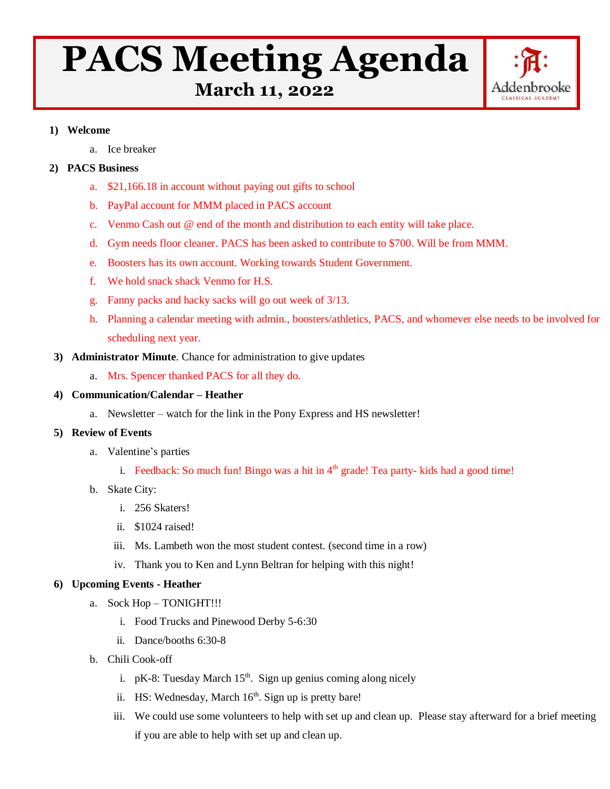# **PACS Meeting Agenda**



 **March 11, 2022**

## **1) Welcome**

a. Ice breaker

# **2) PACS Business**

- a. \$21,166.18 in account without paying out gifts to school
- b. PayPal account for MMM placed in PACS account
- c. Venmo Cash out @ end of the month and distribution to each entity will take place.
- d. Gym needs floor cleaner. PACS has been asked to contribute to \$700. Will be from MMM.
- e. Boosters has its own account. Working towards Student Government.
- f. We hold snack shack Venmo for H.S.
- g. Fanny packs and hacky sacks will go out week of 3/13.
- h. Planning a calendar meeting with admin., boosters/athletics, PACS, and whomever else needs to be involved for scheduling next year.
- **3) Administrator Minute**. Chance for administration to give updates
	- a. Mrs. Spencer thanked PACS for all they do.
- **4) Communication/Calendar – Heather**
	- a. Newsletter watch for the link in the Pony Express and HS newsletter!

#### **5) Review of Events**

- a. Valentine's parties
	- i. Feedback: So much fun! Bingo was a hit in  $4<sup>th</sup>$  grade! Tea party- kids had a good time!
- b. Skate City:
	- i. 256 Skaters!
	- ii. \$1024 raised!
	- iii. Ms. Lambeth won the most student contest. (second time in a row)
	- iv. Thank you to Ken and Lynn Beltran for helping with this night!

## **6) Upcoming Events - Heather**

- a. Sock Hop TONIGHT!!!
	- i. Food Trucks and Pinewood Derby 5-6:30
	- ii. Dance/booths 6:30-8
- b. Chili Cook-off
	- i.  $pK-8$ : Tuesday March 15<sup>th</sup>. Sign up genius coming along nicely
	- ii. HS: Wednesday, March 16<sup>th</sup>. Sign up is pretty bare!
	- iii. We could use some volunteers to help with set up and clean up. Please stay afterward for a brief meeting if you are able to help with set up and clean up.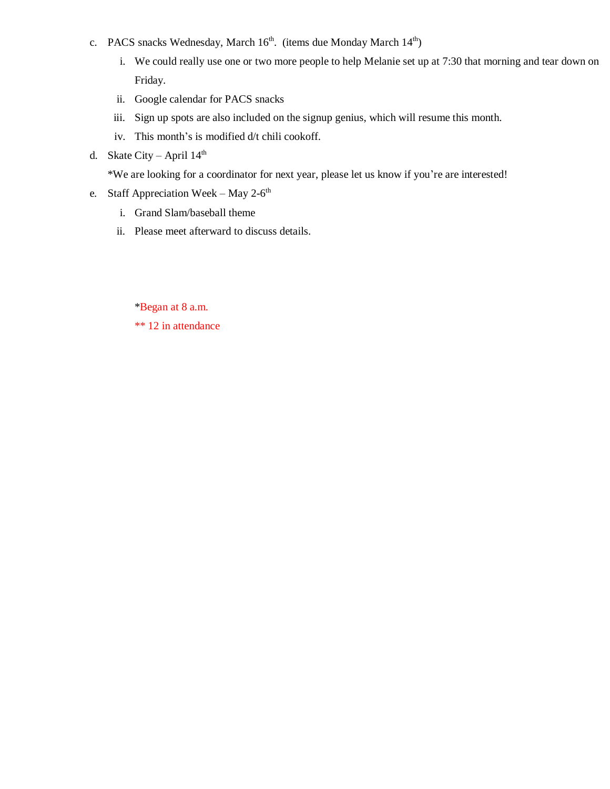- c. PACS snacks Wednesday, March  $16<sup>th</sup>$ . (items due Monday March  $14<sup>th</sup>$ )
	- i. We could really use one or two more people to help Melanie set up at 7:30 that morning and tear down on Friday.
	- ii. Google calendar for PACS snacks
	- iii. Sign up spots are also included on the signup genius, which will resume this month.
	- iv. This month's is modified d/t chili cookoff.
- d. Skate City April  $14<sup>th</sup>$

\*We are looking for a coordinator for next year, please let us know if you're are interested!

- e. Staff Appreciation Week May 2- $6<sup>th</sup>$ 
	- i. Grand Slam/baseball theme
	- ii. Please meet afterward to discuss details.

\*Began at 8 a.m.

\*\* 12 in attendance